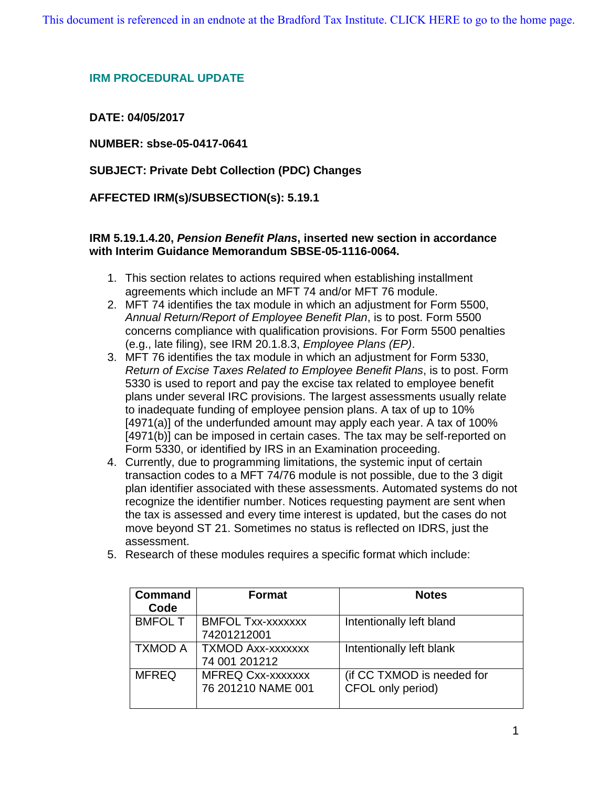## **IRM PROCEDURAL UPDATE**

# **DATE: 04/05/2017**

**NUMBER: sbse-05-0417-0641**

# **SUBJECT: Private Debt Collection (PDC) Changes**

## **AFFECTED IRM(s)/SUBSECTION(s): 5.19.1**

## **IRM 5.19.1.4.20,** *Pension Benefit Plans***, inserted new section in accordance with Interim Guidance Memorandum SBSE-05-1116-0064.**

- 1. This section relates to actions required when establishing installment agreements which include an MFT 74 and/or MFT 76 module.
- 2. MFT 74 identifies the tax module in which an adjustment for Form 5500, *Annual Return/Report of Employee Benefit Plan*, is to post. Form 5500 concerns compliance with qualification provisions. For Form 5500 penalties (e.g., late filing), see IRM 20.1.8.3, *Employee Plans (EP)*.
- 3. MFT 76 identifies the tax module in which an adjustment for Form 5330, *Return of Excise Taxes Related to Employee Benefit Plans*, is to post. Form 5330 is used to report and pay the excise tax related to employee benefit plans under several IRC provisions. The largest assessments usually relate to inadequate funding of employee pension plans. A tax of up to 10% [4971(a)] of the underfunded amount may apply each year. A tax of 100% [4971(b)] can be imposed in certain cases. The tax may be self-reported on Form 5330, or identified by IRS in an Examination proceeding.
- 4. Currently, due to programming limitations, the systemic input of certain transaction codes to a MFT 74/76 module is not possible, due to the 3 digit plan identifier associated with these assessments. Automated systems do not recognize the identifier number. Notices requesting payment are sent when the tax is assessed and every time interest is updated, but the cases do not move beyond ST 21. Sometimes no status is reflected on IDRS, just the assessment.
- 5. Research of these modules requires a specific format which include:

| <b>Command</b> | <b>Format</b>            | <b>Notes</b>               |
|----------------|--------------------------|----------------------------|
| Code           |                          |                            |
| <b>BMFOL T</b> | <b>BMFOL Txx-xxxxxxx</b> | Intentionally left bland   |
|                | 74201212001              |                            |
| <b>TXMOD A</b> | <b>TXMOD Axx-xxxxxxx</b> | Intentionally left blank   |
|                | 74 001 201212            |                            |
| <b>MFREQ</b>   | <b>MFREQ Cxx-xxxxxxx</b> | (if CC TXMOD is needed for |
|                | 76 201210 NAME 001       | CFOL only period)          |
|                |                          |                            |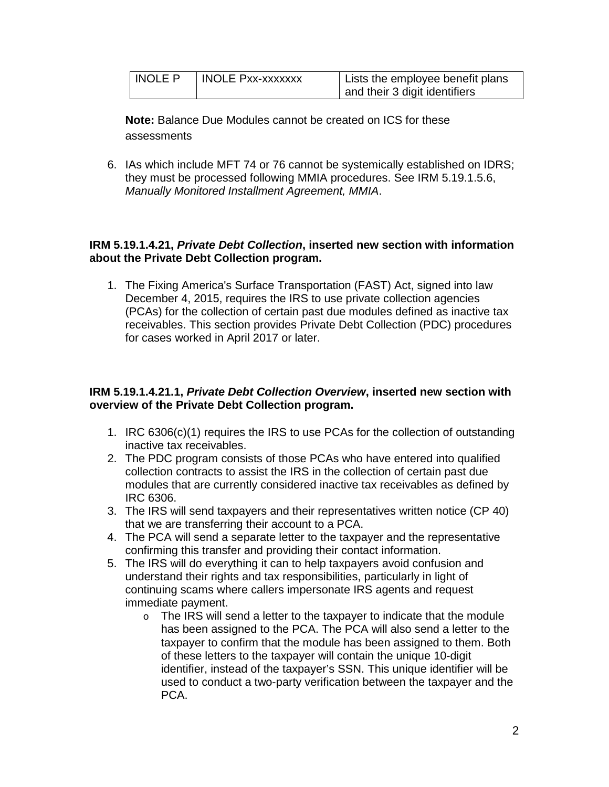| INOLE P | I INOLE Pxx-xxxxxxx | Lists the employee benefit plans |
|---------|---------------------|----------------------------------|
|         |                     | and their 3 digit identifiers    |

**Note:** Balance Due Modules cannot be created on ICS for these assessments

6. IAs which include MFT 74 or 76 cannot be systemically established on IDRS; they must be processed following MMIA procedures. See IRM 5.19.1.5.6, *Manually Monitored Installment Agreement, MMIA*.

## **IRM 5.19.1.4.21,** *Private Debt Collection***, inserted new section with information about the Private Debt Collection program.**

1. The Fixing America's Surface Transportation (FAST) Act, signed into law December 4, 2015, requires the IRS to use private collection agencies (PCAs) for the collection of certain past due modules defined as inactive tax receivables. This section provides Private Debt Collection (PDC) procedures for cases worked in April 2017 or later.

## **IRM 5.19.1.4.21.1,** *Private Debt Collection Overview***, inserted new section with overview of the Private Debt Collection program.**

- 1. IRC 6306(c)(1) requires the IRS to use PCAs for the collection of outstanding inactive tax receivables.
- 2. The PDC program consists of those PCAs who have entered into qualified collection contracts to assist the IRS in the collection of certain past due modules that are currently considered inactive tax receivables as defined by IRC 6306.
- 3. The IRS will send taxpayers and their representatives written notice (CP 40) that we are transferring their account to a PCA.
- 4. The PCA will send a separate letter to the taxpayer and the representative confirming this transfer and providing their contact information.
- 5. The IRS will do everything it can to help taxpayers avoid confusion and understand their rights and tax responsibilities, particularly in light of continuing scams where callers impersonate IRS agents and request immediate payment.
	- $\circ$  The IRS will send a letter to the taxpayer to indicate that the module has been assigned to the PCA. The PCA will also send a letter to the taxpayer to confirm that the module has been assigned to them. Both of these letters to the taxpayer will contain the unique 10-digit identifier, instead of the taxpayer's SSN. This unique identifier will be used to conduct a two-party verification between the taxpayer and the PCA.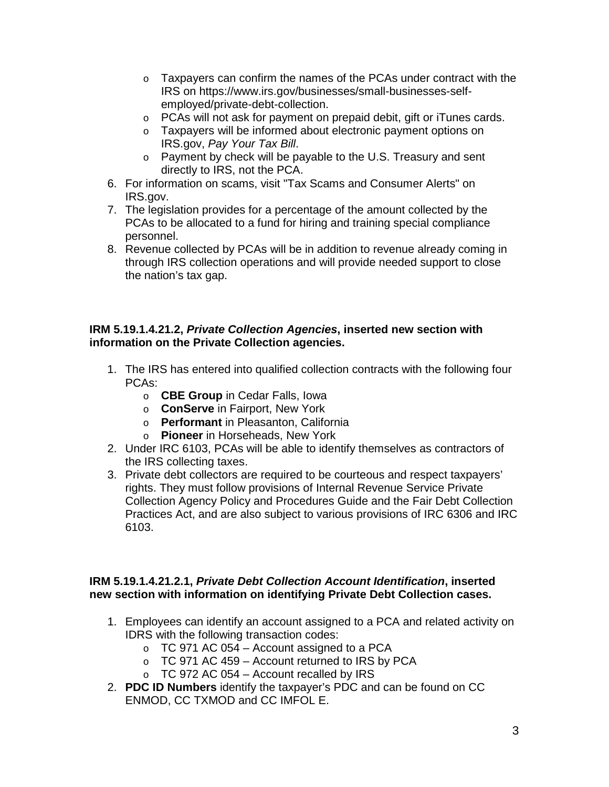- $\circ$  Taxpayers can confirm the names of the PCAs under contract with the IRS on https://www.irs.gov/businesses/small-businesses-selfemployed/private-debt-collection.
- o PCAs will not ask for payment on prepaid debit, gift or iTunes cards.
- o Taxpayers will be informed about electronic payment options on IRS.gov, *Pay Your Tax Bill*.
- o Payment by check will be payable to the U.S. Treasury and sent directly to IRS, not the PCA.
- 6. For information on scams, visit "Tax Scams and Consumer Alerts" on IRS.gov.
- 7. The legislation provides for a percentage of the amount collected by the PCAs to be allocated to a fund for hiring and training special compliance personnel.
- 8. Revenue collected by PCAs will be in addition to revenue already coming in through IRS collection operations and will provide needed support to close the nation's tax gap.

## **IRM 5.19.1.4.21.2,** *Private Collection Agencies***, inserted new section with information on the Private Collection agencies.**

- 1. The IRS has entered into qualified collection contracts with the following four PCAs:
	- o **CBE Group** in Cedar Falls, Iowa
	- o **ConServe** in Fairport, New York
	- o **Performant** in Pleasanton, California
	- o **Pioneer** in Horseheads, New York
- 2. Under IRC 6103, PCAs will be able to identify themselves as contractors of the IRS collecting taxes.
- 3. Private debt collectors are required to be courteous and respect taxpayers' rights. They must follow provisions of Internal Revenue Service Private Collection Agency Policy and Procedures Guide and the Fair Debt Collection Practices Act, and are also subject to various provisions of IRC 6306 and IRC 6103.

## **IRM 5.19.1.4.21.2.1,** *Private Debt Collection Account Identification***, inserted new section with information on identifying Private Debt Collection cases.**

- 1. Employees can identify an account assigned to a PCA and related activity on IDRS with the following transaction codes:
	- $\circ$  TC 971 AC 054 Account assigned to a PCA
	- $\circ$  TC 971 AC 459 Account returned to IRS by PCA
	- $\circ$  TC 972 AC 054 Account recalled by IRS
- 2. **PDC ID Numbers** identify the taxpayer's PDC and can be found on CC ENMOD, CC TXMOD and CC IMFOL E.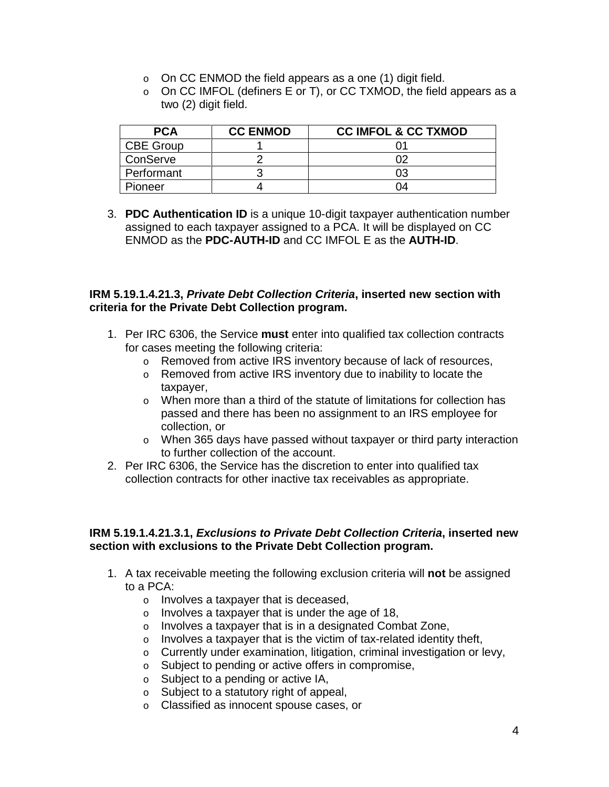- $\circ$  On CC ENMOD the field appears as a one (1) digit field.
- $\circ$  On CC IMFOL (definers E or T), or CC TXMOD, the field appears as a two (2) digit field.

| <b>PCA</b>       | <b>CC ENMOD</b> | <b>CC IMFOL &amp; CC TXMOD</b> |
|------------------|-----------------|--------------------------------|
| <b>CBE Group</b> |                 |                                |
| ConServe         |                 |                                |
| Performant       |                 | 03                             |
| Pioneer          |                 | 04                             |

3. **PDC Authentication ID** is a unique 10-digit taxpayer authentication number assigned to each taxpayer assigned to a PCA. It will be displayed on CC ENMOD as the **PDC-AUTH-ID** and CC IMFOL E as the **AUTH-ID**.

### **IRM 5.19.1.4.21.3,** *Private Debt Collection Criteria***, inserted new section with criteria for the Private Debt Collection program.**

- 1. Per IRC 6306, the Service **must** enter into qualified tax collection contracts for cases meeting the following criteria:
	- o Removed from active IRS inventory because of lack of resources,
	- o Removed from active IRS inventory due to inability to locate the taxpayer,
	- $\circ$  When more than a third of the statute of limitations for collection has passed and there has been no assignment to an IRS employee for collection, or
	- o When 365 days have passed without taxpayer or third party interaction to further collection of the account.
- 2. Per IRC 6306, the Service has the discretion to enter into qualified tax collection contracts for other inactive tax receivables as appropriate.

#### **IRM 5.19.1.4.21.3.1,** *Exclusions to Private Debt Collection Criteria***, inserted new section with exclusions to the Private Debt Collection program.**

- 1. A tax receivable meeting the following exclusion criteria will **not** be assigned to a PCA:
	- o Involves a taxpayer that is deceased,
	- o Involves a taxpayer that is under the age of 18,
	- o Involves a taxpayer that is in a designated Combat Zone,
	- $\circ$  Involves a taxpayer that is the victim of tax-related identity theft,
	- o Currently under examination, litigation, criminal investigation or levy,
	- o Subject to pending or active offers in compromise,
	- o Subject to a pending or active IA,
	- o Subject to a statutory right of appeal,
	- o Classified as innocent spouse cases, or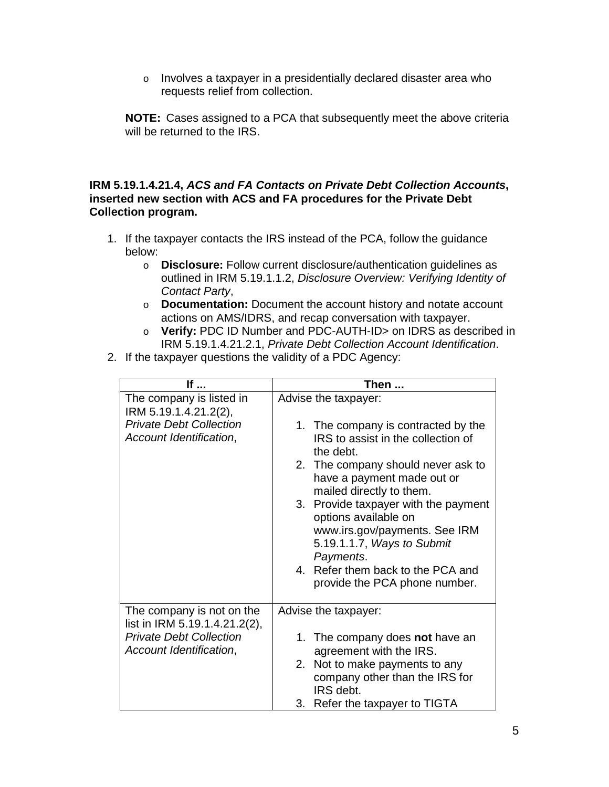o Involves a taxpayer in a presidentially declared disaster area who requests relief from collection.

**NOTE:** Cases assigned to a PCA that subsequently meet the above criteria will be returned to the IRS.

## **IRM 5.19.1.4.21.4,** *ACS and FA Contacts on Private Debt Collection Accounts***, inserted new section with ACS and FA procedures for the Private Debt Collection program.**

- 1. If the taxpayer contacts the IRS instead of the PCA, follow the guidance below:
	- o **Disclosure:** Follow current disclosure/authentication guidelines as outlined in IRM 5.19.1.1.2, *Disclosure Overview: Verifying Identity of Contact Party*,
	- o **Documentation:** Document the account history and notate account actions on AMS/IDRS, and recap conversation with taxpayer.
	- o **Verify:** PDC ID Number and PDC-AUTH-ID> on IDRS as described in IRM 5.19.1.4.21.2.1, *Private Debt Collection Account Identification*.
- 2. If the taxpayer questions the validity of a PDC Agency:

| If                                                                                                                      | Then                                                                                                                                                                                                                                                                                                                                                                                            |  |
|-------------------------------------------------------------------------------------------------------------------------|-------------------------------------------------------------------------------------------------------------------------------------------------------------------------------------------------------------------------------------------------------------------------------------------------------------------------------------------------------------------------------------------------|--|
| The company is listed in<br>IRM 5.19.1.4.21.2(2),<br><b>Private Debt Collection</b><br>Account Identification,          | Advise the taxpayer:<br>1. The company is contracted by the<br>IRS to assist in the collection of<br>the debt.<br>2. The company should never ask to<br>have a payment made out or<br>mailed directly to them.<br>3. Provide taxpayer with the payment<br>options available on<br>www.irs.gov/payments. See IRM<br>5.19.1.1.7, Ways to Submit<br>Payments.<br>4. Refer them back to the PCA and |  |
|                                                                                                                         | provide the PCA phone number.                                                                                                                                                                                                                                                                                                                                                                   |  |
| The company is not on the<br>list in IRM 5.19.1.4.21.2(2),<br><b>Private Debt Collection</b><br>Account Identification, | Advise the taxpayer:<br>1. The company does not have an<br>agreement with the IRS.<br>2. Not to make payments to any<br>company other than the IRS for                                                                                                                                                                                                                                          |  |
|                                                                                                                         | IRS debt.<br>3.<br>Refer the taxpayer to TIGTA                                                                                                                                                                                                                                                                                                                                                  |  |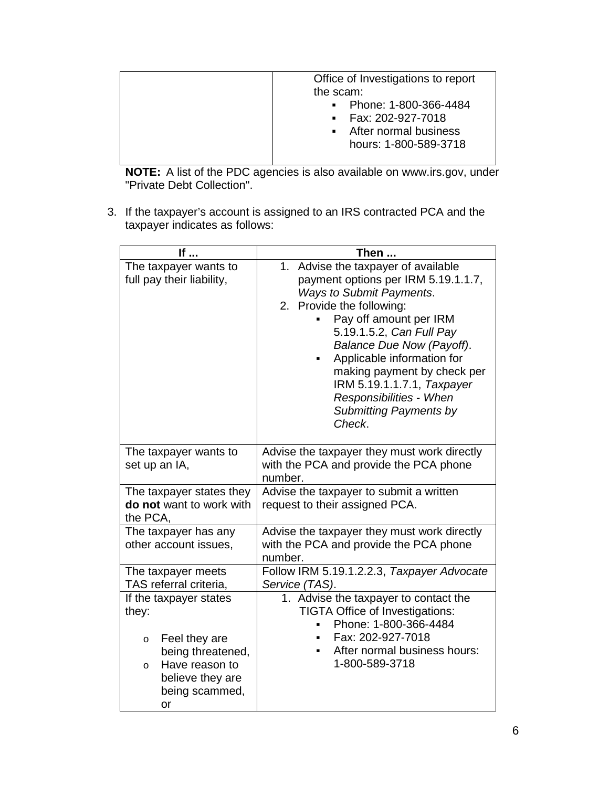|--|

**NOTE:** A list of the PDC agencies is also available on www.irs.gov, under "Private Debt Collection".

3. If the taxpayer's account is assigned to an IRS contracted PCA and the taxpayer indicates as follows:

| If                                                                                                                                                         | Then                                                                                                                                                                                                                                                                                                                                                                                           |
|------------------------------------------------------------------------------------------------------------------------------------------------------------|------------------------------------------------------------------------------------------------------------------------------------------------------------------------------------------------------------------------------------------------------------------------------------------------------------------------------------------------------------------------------------------------|
| The taxpayer wants to<br>full pay their liability,                                                                                                         | 1. Advise the taxpayer of available<br>payment options per IRM 5.19.1.1.7,<br><b>Ways to Submit Payments.</b><br>2. Provide the following:<br>Pay off amount per IRM<br>5.19.1.5.2, Can Full Pay<br>Balance Due Now (Payoff).<br>Applicable information for<br>making payment by check per<br>IRM 5.19.1.1.7.1, Taxpayer<br>Responsibilities - When<br><b>Submitting Payments by</b><br>Check. |
| The taxpayer wants to<br>set up an IA,                                                                                                                     | Advise the taxpayer they must work directly<br>with the PCA and provide the PCA phone<br>number.                                                                                                                                                                                                                                                                                               |
| The taxpayer states they<br>do not want to work with<br>the PCA,                                                                                           | Advise the taxpayer to submit a written<br>request to their assigned PCA.                                                                                                                                                                                                                                                                                                                      |
| The taxpayer has any<br>other account issues,                                                                                                              | Advise the taxpayer they must work directly<br>with the PCA and provide the PCA phone<br>number.                                                                                                                                                                                                                                                                                               |
| The taxpayer meets<br>TAS referral criteria,                                                                                                               | Follow IRM 5.19.1.2.2.3, Taxpayer Advocate<br>Service (TAS).                                                                                                                                                                                                                                                                                                                                   |
| If the taxpayer states<br>they:<br>Feel they are<br>$\circ$<br>being threatened,<br>Have reason to<br>$\Omega$<br>believe they are<br>being scammed,<br>or | 1. Advise the taxpayer to contact the<br><b>TIGTA Office of Investigations:</b><br>Phone: 1-800-366-4484<br>Fax: 202-927-7018<br>After normal business hours:<br>1-800-589-3718                                                                                                                                                                                                                |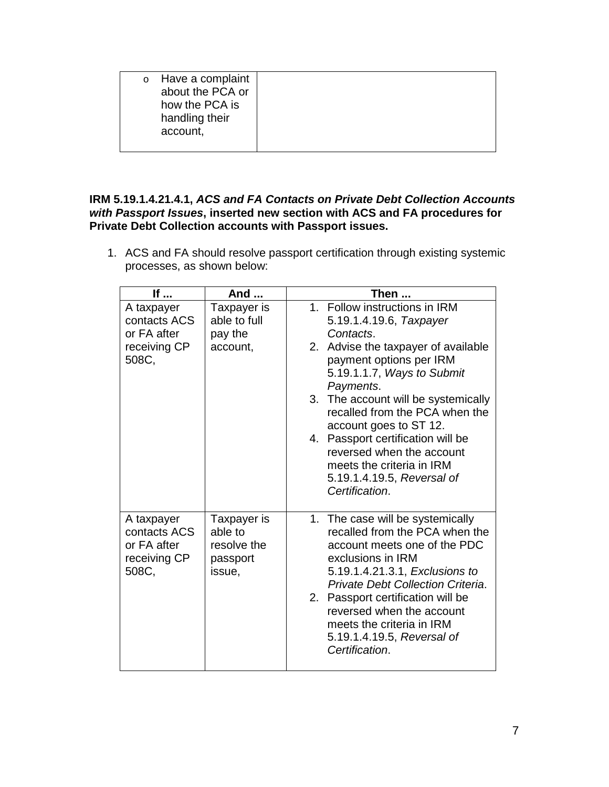|  | $\circ$ | Have a complaint<br>about the PCA or<br>how the PCA is<br>handling their<br>account, |  |
|--|---------|--------------------------------------------------------------------------------------|--|
|--|---------|--------------------------------------------------------------------------------------|--|

## **IRM 5.19.1.4.21.4.1,** *ACS and FA Contacts on Private Debt Collection Accounts with Passport Issues***, inserted new section with ACS and FA procedures for Private Debt Collection accounts with Passport issues.**

1. ACS and FA should resolve passport certification through existing systemic processes, as shown below:

| If                                                                 | And                                                         | Then                                                                                                                                                                                                  |
|--------------------------------------------------------------------|-------------------------------------------------------------|-------------------------------------------------------------------------------------------------------------------------------------------------------------------------------------------------------|
| A taxpayer<br>contacts ACS<br>or FA after                          | Taxpayer is<br>able to full<br>pay the                      | 1. Follow instructions in IRM<br>5.19.1.4.19.6, Taxpayer<br>Contacts.                                                                                                                                 |
| receiving CP<br>508C,                                              | account,                                                    | 2. Advise the taxpayer of available<br>payment options per IRM<br>5.19.1.1.7, Ways to Submit<br>Payments.                                                                                             |
|                                                                    |                                                             | 3. The account will be systemically<br>recalled from the PCA when the<br>account goes to ST 12.                                                                                                       |
|                                                                    |                                                             | 4. Passport certification will be<br>reversed when the account<br>meets the criteria in IRM<br>5.19.1.4.19.5, Reversal of<br>Certification.                                                           |
| A taxpayer<br>contacts ACS<br>or FA after<br>receiving CP<br>508C, | Taxpayer is<br>able to<br>resolve the<br>passport<br>issue, | 1. The case will be systemically<br>recalled from the PCA when the<br>account meets one of the PDC<br>exclusions in IRM<br>5.19.1.4.21.3.1, Exclusions to<br><b>Private Debt Collection Criteria.</b> |
|                                                                    |                                                             | 2. Passport certification will be<br>reversed when the account<br>meets the criteria in IRM<br>5.19.1.4.19.5, Reversal of<br>Certification.                                                           |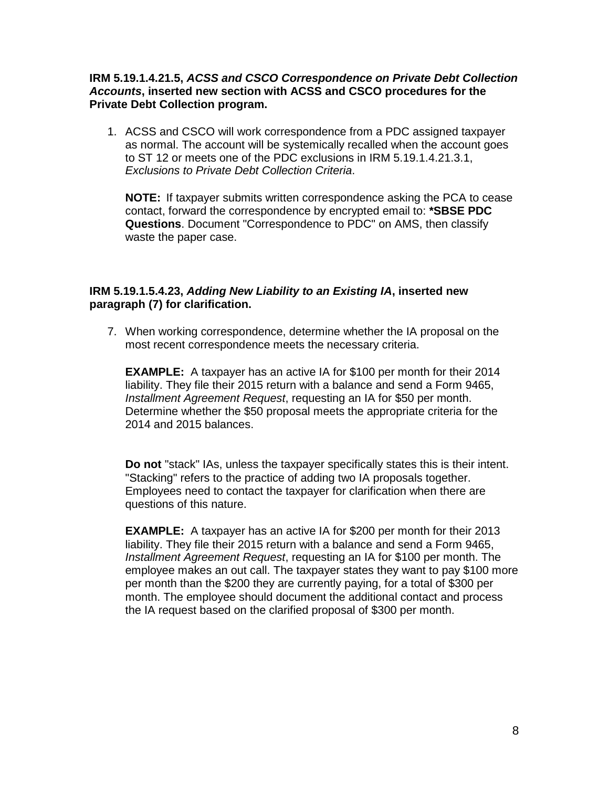### **IRM 5.19.1.4.21.5,** *ACSS and CSCO Correspondence on Private Debt Collection Accounts***, inserted new section with ACSS and CSCO procedures for the Private Debt Collection program.**

1. ACSS and CSCO will work correspondence from a PDC assigned taxpayer as normal. The account will be systemically recalled when the account goes to ST 12 or meets one of the PDC exclusions in IRM 5.19.1.4.21.3.1, *Exclusions to Private Debt Collection Criteria*.

**NOTE:** If taxpayer submits written correspondence asking the PCA to cease contact, forward the correspondence by encrypted email to: **\*SBSE PDC Questions**. Document "Correspondence to PDC" on AMS, then classify waste the paper case.

## **IRM 5.19.1.5.4.23,** *Adding New Liability to an Existing IA***, inserted new paragraph (7) for clarification.**

7. When working correspondence, determine whether the IA proposal on the most recent correspondence meets the necessary criteria.

**EXAMPLE:** A taxpayer has an active IA for \$100 per month for their 2014 liability. They file their 2015 return with a balance and send a Form 9465, *Installment Agreement Request*, requesting an IA for \$50 per month. Determine whether the \$50 proposal meets the appropriate criteria for the 2014 and 2015 balances.

**Do not** "stack" IAs, unless the taxpayer specifically states this is their intent. "Stacking" refers to the practice of adding two IA proposals together. Employees need to contact the taxpayer for clarification when there are questions of this nature.

**EXAMPLE:** A taxpayer has an active IA for \$200 per month for their 2013 liability. They file their 2015 return with a balance and send a Form 9465, *Installment Agreement Request*, requesting an IA for \$100 per month. The employee makes an out call. The taxpayer states they want to pay \$100 more per month than the \$200 they are currently paying, for a total of \$300 per month. The employee should document the additional contact and process the IA request based on the clarified proposal of \$300 per month.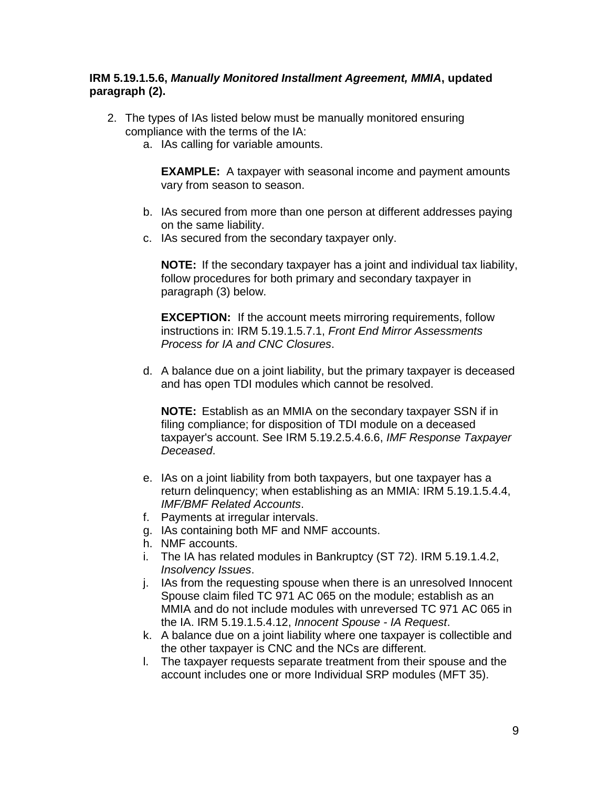## **IRM 5.19.1.5.6,** *Manually Monitored Installment Agreement, MMIA***, updated paragraph (2).**

- 2. The types of IAs listed below must be manually monitored ensuring compliance with the terms of the IA:
	- a. IAs calling for variable amounts.

**EXAMPLE:** A taxpayer with seasonal income and payment amounts vary from season to season.

- b. IAs secured from more than one person at different addresses paying on the same liability.
- c. IAs secured from the secondary taxpayer only.

**NOTE:** If the secondary taxpayer has a joint and individual tax liability, follow procedures for both primary and secondary taxpayer in paragraph (3) below.

**EXCEPTION:** If the account meets mirroring requirements, follow instructions in: IRM 5.19.1.5.7.1, *Front End Mirror Assessments Process for IA and CNC Closures*.

d. A balance due on a joint liability, but the primary taxpayer is deceased and has open TDI modules which cannot be resolved.

**NOTE:** Establish as an MMIA on the secondary taxpayer SSN if in filing compliance; for disposition of TDI module on a deceased taxpayer's account. See IRM 5.19.2.5.4.6.6, *IMF Response Taxpayer Deceased*.

- e. IAs on a joint liability from both taxpayers, but one taxpayer has a return delinquency; when establishing as an MMIA: IRM 5.19.1.5.4.4, *IMF/BMF Related Accounts*.
- f. Payments at irregular intervals.
- g. IAs containing both MF and NMF accounts.
- h. NMF accounts.
- i. The IA has related modules in Bankruptcy (ST 72). IRM 5.19.1.4.2, *Insolvency Issues*.
- j. IAs from the requesting spouse when there is an unresolved Innocent Spouse claim filed TC 971 AC 065 on the module; establish as an MMIA and do not include modules with unreversed TC 971 AC 065 in the IA. IRM 5.19.1.5.4.12, *Innocent Spouse - IA Request*.
- k. A balance due on a joint liability where one taxpayer is collectible and the other taxpayer is CNC and the NCs are different.
- l. The taxpayer requests separate treatment from their spouse and the account includes one or more Individual SRP modules (MFT 35).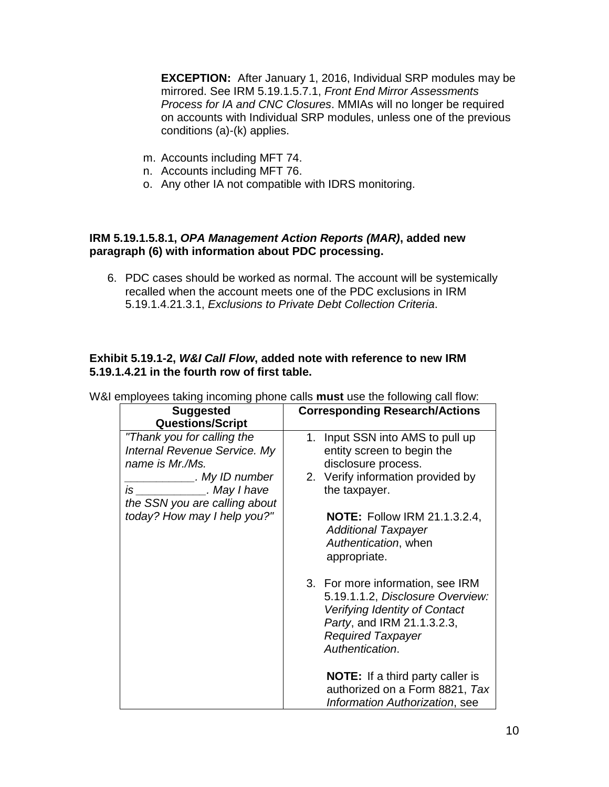**EXCEPTION:** After January 1, 2016, Individual SRP modules may be mirrored. See IRM 5.19.1.5.7.1, *Front End Mirror Assessments Process for IA and CNC Closures*. MMIAs will no longer be required on accounts with Individual SRP modules, unless one of the previous conditions (a)-(k) applies.

- m. Accounts including MFT 74.
- n. Accounts including MFT 76.
- o. Any other IA not compatible with IDRS monitoring.

### **IRM 5.19.1.5.8.1,** *OPA Management Action Reports (MAR)***, added new paragraph (6) with information about PDC processing.**

6. PDC cases should be worked as normal. The account will be systemically recalled when the account meets one of the PDC exclusions in IRM 5.19.1.4.21.3.1, *Exclusions to Private Debt Collection Criteria*.

## **Exhibit 5.19.1-2,** *W&I Call Flow***, added note with reference to new IRM 5.19.1.4.21 in the fourth row of first table.**

| <b>Suggested</b>              | <b>Corresponding Research/Actions</b>                                                                                                                                              |
|-------------------------------|------------------------------------------------------------------------------------------------------------------------------------------------------------------------------------|
| <b>Questions/Script</b>       |                                                                                                                                                                                    |
| "Thank you for calling the    | 1. Input SSN into AMS to pull up                                                                                                                                                   |
| Internal Revenue Service. My  | entity screen to begin the                                                                                                                                                         |
| name is Mr./Ms.               | disclosure process.                                                                                                                                                                |
| . My ID number                | 2. Verify information provided by                                                                                                                                                  |
| is ____________. May I have   | the taxpayer.                                                                                                                                                                      |
| the SSN you are calling about |                                                                                                                                                                                    |
| today? How may I help you?"   | <b>NOTE:</b> Follow IRM 21.1.3.2.4,<br><b>Additional Taxpayer</b><br>Authentication, when<br>appropriate.                                                                          |
|                               | 3. For more information, see IRM<br>5.19.1.1.2, Disclosure Overview:<br>Verifying Identity of Contact<br>Party, and IRM 21.1.3.2.3,<br><b>Required Taxpayer</b><br>Authentication. |
|                               | <b>NOTE:</b> If a third party caller is<br>authorized on a Form 8821, Tax<br>Information Authorization, see                                                                        |

W&I employees taking incoming phone calls **must** use the following call flow: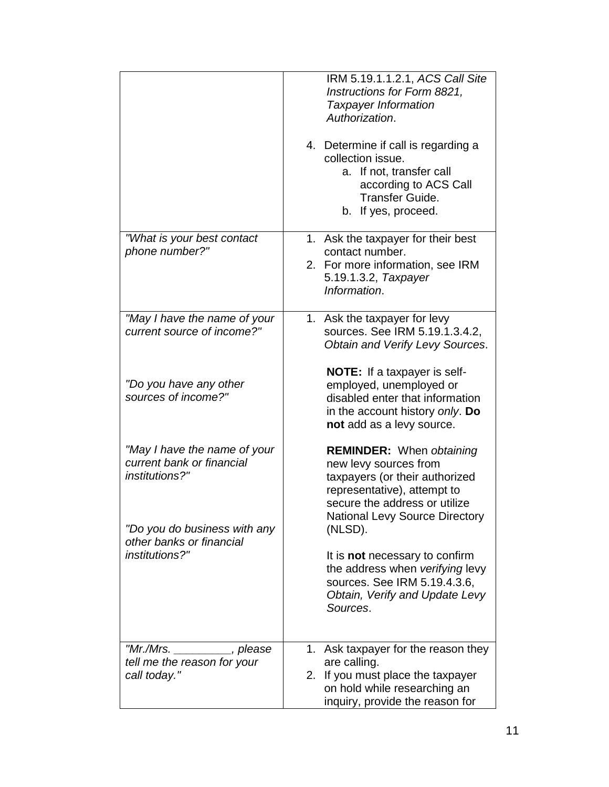|                                                                                                             | IRM 5.19.1.1.2.1, ACS Call Site<br>Instructions for Form 8821,<br><b>Taxpayer Information</b><br>Authorization.<br>4. Determine if call is regarding a<br>collection issue.<br>a. If not, transfer call<br>according to ACS Call<br>Transfer Guide.<br>b. If yes, proceed. |
|-------------------------------------------------------------------------------------------------------------|----------------------------------------------------------------------------------------------------------------------------------------------------------------------------------------------------------------------------------------------------------------------------|
| "What is your best contact<br>phone number?"                                                                | 1. Ask the taxpayer for their best<br>contact number.<br>2. For more information, see IRM<br>5.19.1.3.2, Taxpayer<br>Information.                                                                                                                                          |
| "May I have the name of your<br>current source of income?"                                                  | 1. Ask the taxpayer for levy<br>sources. See IRM 5.19.1.3.4.2,<br>Obtain and Verify Levy Sources.<br><b>NOTE:</b> If a taxpayer is self-                                                                                                                                   |
| "Do you have any other<br>sources of income?"                                                               | employed, unemployed or<br>disabled enter that information<br>in the account history only. Do<br>not add as a levy source.                                                                                                                                                 |
| "May I have the name of your<br>current bank or financial<br>institutions?"<br>"Do you do business with any | <b>REMINDER:</b> When obtaining<br>new levy sources from<br>taxpayers (or their authorized<br>representative), attempt to<br>secure the address or utilize<br><b>National Levy Source Directory</b><br>(NLSD).                                                             |
| other banks or financial<br>institutions?"                                                                  | It is <b>not</b> necessary to confirm<br>the address when verifying levy<br>sources. See IRM 5.19.4.3.6,<br>Obtain, Verify and Update Levy<br>Sources.                                                                                                                     |
| "Mr./Mrs.<br>__, please<br>tell me the reason for your<br>call today."                                      | 1. Ask taxpayer for the reason they<br>are calling.<br>2. If you must place the taxpayer<br>on hold while researching an<br>inquiry, provide the reason for                                                                                                                |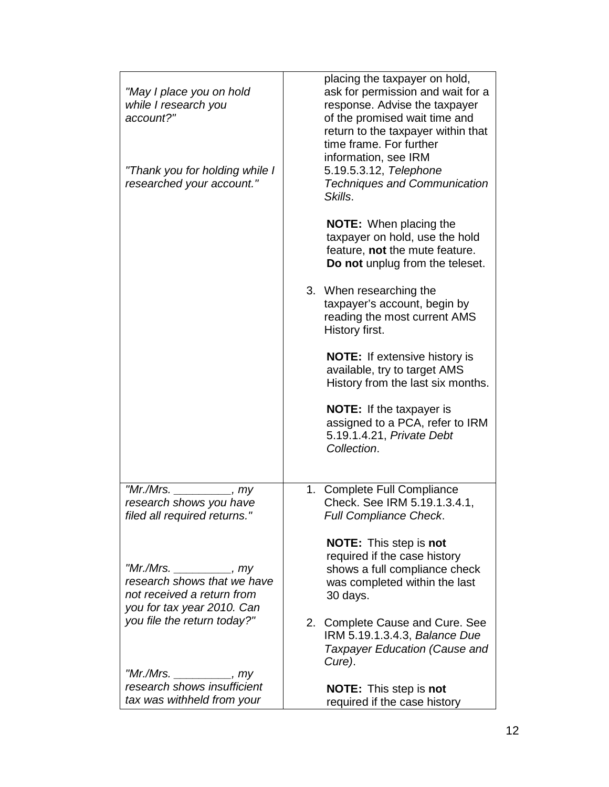| "May I place you on hold<br>while I research you<br>account?"                                                       | placing the taxpayer on hold,<br>ask for permission and wait for a<br>response. Advise the taxpayer<br>of the promised wait time and<br>return to the taxpayer within that<br>time frame. For further<br>information, see IRM |
|---------------------------------------------------------------------------------------------------------------------|-------------------------------------------------------------------------------------------------------------------------------------------------------------------------------------------------------------------------------|
| "Thank you for holding while I<br>researched your account."                                                         | 5.19.5.3.12, Telephone<br><b>Techniques and Communication</b><br>Skills.                                                                                                                                                      |
|                                                                                                                     | <b>NOTE:</b> When placing the<br>taxpayer on hold, use the hold<br>feature, not the mute feature.<br>Do not unplug from the teleset.                                                                                          |
|                                                                                                                     | 3. When researching the<br>taxpayer's account, begin by<br>reading the most current AMS<br>History first.                                                                                                                     |
|                                                                                                                     | <b>NOTE:</b> If extensive history is<br>available, try to target AMS<br>History from the last six months.                                                                                                                     |
|                                                                                                                     | <b>NOTE:</b> If the taxpayer is<br>assigned to a PCA, refer to IRM<br>5.19.1.4.21, Private Debt<br>Collection.                                                                                                                |
| "Mr./Mrs.<br>, my<br>research shows you have<br>filed all required returns."                                        | 1. Complete Full Compliance<br>Check. See IRM 5.19.1.3.4.1,<br><b>Full Compliance Check.</b>                                                                                                                                  |
| "Mr./Mrs. __________, my<br>research shows that we have<br>not received a return from<br>you for tax year 2010. Can | <b>NOTE:</b> This step is not<br>required if the case history<br>shows a full compliance check<br>was completed within the last<br>30 days.                                                                                   |
| you file the return today?"                                                                                         | 2.<br>Complete Cause and Cure. See<br>IRM 5.19.1.3.4.3, Balance Due<br>Taxpayer Education (Cause and<br>Cure).                                                                                                                |
| "Mr./Mrs. __________, my<br>research shows insufficient<br>tax was withheld from your                               | <b>NOTE:</b> This step is not<br>required if the case history                                                                                                                                                                 |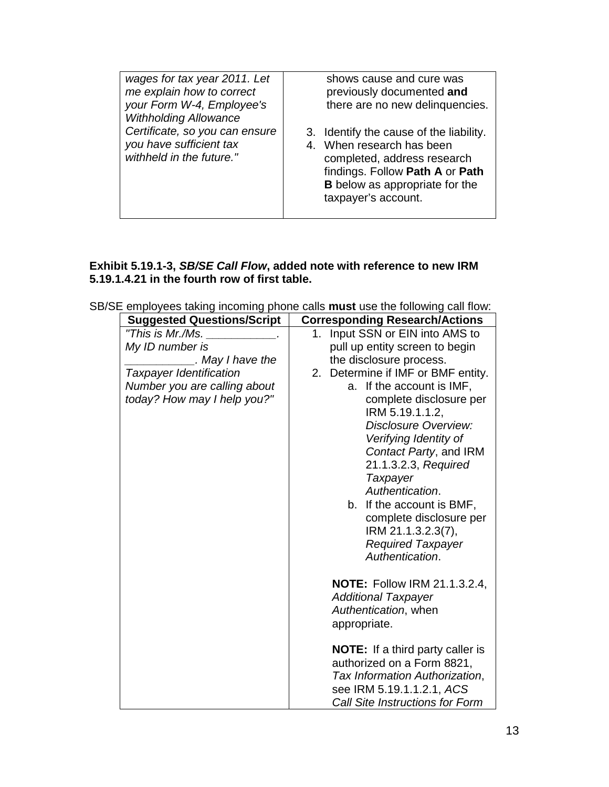| wages for tax year 2011. Let<br>me explain how to correct<br>your Form W-4, Employee's<br><b>Withholding Allowance</b> | shows cause and cure was<br>previously documented and<br>there are no new delinquencies.                                                                                                               |
|------------------------------------------------------------------------------------------------------------------------|--------------------------------------------------------------------------------------------------------------------------------------------------------------------------------------------------------|
| Certificate, so you can ensure<br>you have sufficient tax<br>withheld in the future."                                  | 3. Identify the cause of the liability.<br>4. When research has been<br>completed, address research<br>findings. Follow Path A or Path<br><b>B</b> below as appropriate for the<br>taxpayer's account. |

## **Exhibit 5.19.1-3,** *SB/SE Call Flow***, added note with reference to new IRM 5.19.1.4.21 in the fourth row of first table.**

| <b>Suggested Questions/Script</b> | <b>Corresponding Research/Actions</b>       |
|-----------------------------------|---------------------------------------------|
| "This is Mr./Ms.                  | Input SSN or EIN into AMS to<br>1.          |
| My ID number is                   | pull up entity screen to begin              |
| . May I have the                  | the disclosure process.                     |
| <b>Taxpayer Identification</b>    | 2.<br>Determine if IMF or BMF entity.       |
| Number you are calling about      | a. If the account is IMF,                   |
| today? How may I help you?"       | complete disclosure per                     |
|                                   | IRM 5.19.1.1.2,                             |
|                                   | Disclosure Overview:                        |
|                                   | Verifying Identity of                       |
|                                   | Contact Party, and IRM                      |
|                                   | 21.1.3.2.3, Required                        |
|                                   | Taxpayer                                    |
|                                   | Authentication.                             |
|                                   | b. If the account is BMF,                   |
|                                   | complete disclosure per                     |
|                                   | IRM 21.1.3.2.3(7),                          |
|                                   | <b>Required Taxpayer</b><br>Authentication. |
|                                   |                                             |
|                                   | <b>NOTE:</b> Follow IRM 21.1.3.2.4,         |
|                                   | <b>Additional Taxpayer</b>                  |
|                                   | Authentication, when                        |
|                                   | appropriate.                                |
|                                   |                                             |
|                                   | <b>NOTE:</b> If a third party caller is     |
|                                   | authorized on a Form 8821,                  |
|                                   | Tax Information Authorization,              |
|                                   | see IRM 5.19.1.1.2.1, ACS                   |
|                                   | <b>Call Site Instructions for Form</b>      |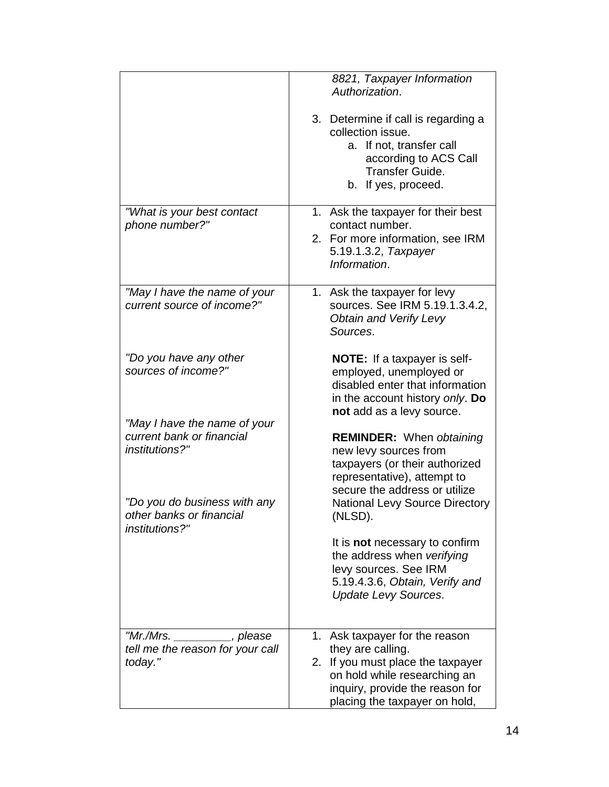|                                                                             | 8821, Taxpayer Information<br>Authorization.                                                                                                                                                 |
|-----------------------------------------------------------------------------|----------------------------------------------------------------------------------------------------------------------------------------------------------------------------------------------|
|                                                                             | 3. Determine if call is regarding a<br>collection issue.<br>a. If not, transfer call<br>according to ACS Call<br><b>Transfer Guide.</b><br>If yes, proceed.<br>b.                            |
| "What is your best contact<br>phone number?"                                | 1. Ask the taxpayer for their best<br>contact number.<br>2. For more information, see IRM<br>5.19.1.3.2, Taxpayer<br>Information.                                                            |
| "May I have the name of your<br>current source of income?"                  | 1. Ask the taxpayer for levy<br>sources. See IRM 5.19.1.3.4.2,<br><b>Obtain and Verify Levy</b><br>Sources.                                                                                  |
| "Do you have any other<br>sources of income?"                               | NOTE: If a taxpayer is self-<br>employed, unemployed or<br>disabled enter that information<br>in the account history only. Do<br>not add as a levy source.                                   |
| "May I have the name of your<br>current bank or financial<br>institutions?" | <b>REMINDER:</b> When obtaining<br>new levy sources from<br>taxpayers (or their authorized<br>representative), attempt to<br>secure the address or utilize                                   |
| "Do you do business with any<br>other banks or financial<br>institutions?"  | <b>National Levy Source Directory</b><br>(NLSD).                                                                                                                                             |
|                                                                             | It is <b>not</b> necessary to confirm<br>the address when verifying<br>levy sources. See IRM<br>5.19.4.3.6, Obtain, Verify and<br><b>Update Levy Sources.</b>                                |
| "Mr./Mrs. _________, please<br>tell me the reason for your call<br>today."  | 1. Ask taxpayer for the reason<br>they are calling.<br>2. If you must place the taxpayer<br>on hold while researching an<br>inquiry, provide the reason for<br>placing the taxpayer on hold, |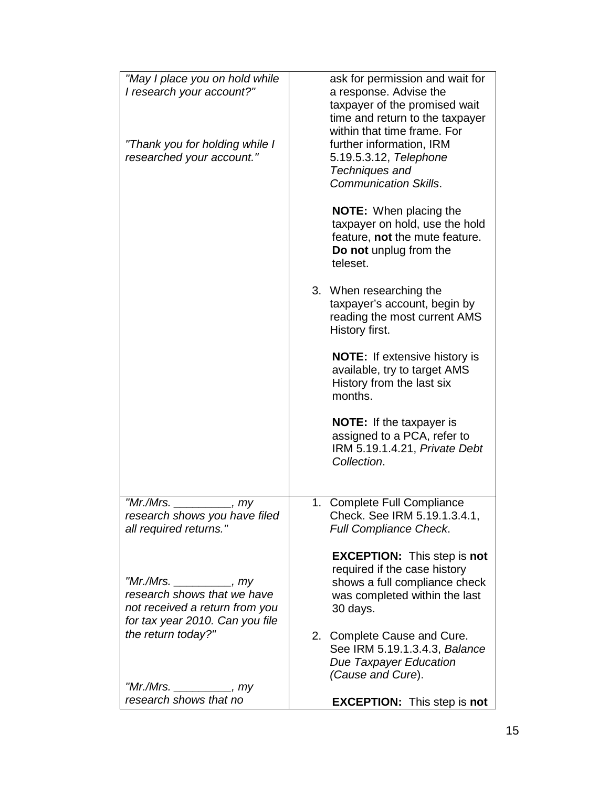| "May I place you on hold while<br>I research your account?"<br>"Thank you for holding while I<br>researched your account."  | ask for permission and wait for<br>a response. Advise the<br>taxpayer of the promised wait<br>time and return to the taxpayer<br>within that time frame. For<br>further information, IRM<br>5.19.5.3.12, Telephone<br>Techniques and<br><b>Communication Skills.</b> |
|-----------------------------------------------------------------------------------------------------------------------------|----------------------------------------------------------------------------------------------------------------------------------------------------------------------------------------------------------------------------------------------------------------------|
|                                                                                                                             | <b>NOTE:</b> When placing the<br>taxpayer on hold, use the hold<br>feature, not the mute feature.<br>Do not unplug from the<br>teleset.                                                                                                                              |
|                                                                                                                             | 3. When researching the<br>taxpayer's account, begin by<br>reading the most current AMS<br>History first.                                                                                                                                                            |
|                                                                                                                             | <b>NOTE:</b> If extensive history is<br>available, try to target AMS<br>History from the last six<br>months.                                                                                                                                                         |
|                                                                                                                             | <b>NOTE:</b> If the taxpayer is<br>assigned to a PCA, refer to<br>IRM 5.19.1.4.21, Private Debt<br>Collection.                                                                                                                                                       |
| " $Mr.Mrs.$<br>, my                                                                                                         | 1. Complete Full Compliance                                                                                                                                                                                                                                          |
| research shows you have filed<br>all required returns."                                                                     | Check. See IRM 5.19.1.3.4.1,<br><b>Full Compliance Check.</b>                                                                                                                                                                                                        |
| "Mr./Mrs. _________, my<br>research shows that we have<br>not received a return from you<br>for tax year 2010. Can you file | <b>EXCEPTION:</b> This step is not<br>required if the case history<br>shows a full compliance check<br>was completed within the last<br>30 days.                                                                                                                     |
| the return today?"<br>"Mr./Mrs.                                                                                             | 2. Complete Cause and Cure.<br>See IRM 5.19.1.3.4.3, Balance<br><b>Due Taxpayer Education</b><br>(Cause and Cure).                                                                                                                                                   |
| $\frac{1}{\sqrt{2}}$ , my<br>research shows that no                                                                         | <b>EXCEPTION:</b> This step is not                                                                                                                                                                                                                                   |
|                                                                                                                             |                                                                                                                                                                                                                                                                      |